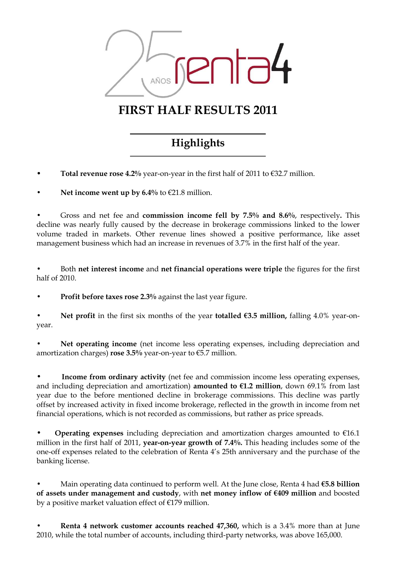

# FIRST HALF RESULTS 2011

# Highlights

Total revenue rose 4.2% year-on-year in the first half of 2011 to  $\epsilon$ 32.7 million.

Net income went up by  $6.4\%$  to  $621.8$  million.

Gross and net fee and **commission income fell by 7.5% and 8.6%**, respectively. This decline was nearly fully caused by the decrease in brokerage commissions linked to the lower volume traded in markets. Other revenue lines showed a positive performance, like asset management business which had an increase in revenues of 3.7% in the first half of the year.

Both net interest income and net financial operations were triple the figures for the first half of 2010.

Profit before taxes rose 2.3% against the last year figure.

Net profit in the first six months of the year totalled  $63.5$  million, falling 4.0% year-onyear.

Net operating income (net income less operating expenses, including depreciation and amortization charges) rose 3.5% year-on-year to  $\epsilon$ 5.7 million.

Income from ordinary activity (net fee and commission income less operating expenses, and including depreciation and amortization) **amounted to**  $\epsilon$ **1.2 million**, down 69.1% from last year due to the before mentioned decline in brokerage commissions. This decline was partly offset by increased activity in fixed income brokerage, reflected in the growth in income from net financial operations, which is not recorded as commissions, but rather as price spreads.

**Operating expenses** including depreciation and amortization charges amounted to  $€16.1$ million in the first half of 2011, year-on-year growth of 7.4%. This heading includes some of the one-off expenses related to the celebration of Renta 4's 25th anniversary and the purchase of the banking license.

Main operating data continued to perform well. At the June close, Renta 4 had  $\epsilon$ 5.8 billion of assets under management and custody, with net money inflow of €409 million and boosted by a positive market valuation effect of  $E$ 179 million.

Renta 4 network customer accounts reached 47,360, which is a 3.4% more than at June 2010, while the total number of accounts, including third-party networks, was above 165,000.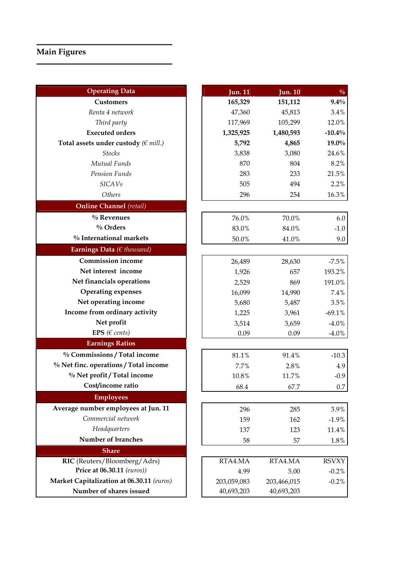# Main Figures

| <b>Operating Data</b>                     | <b>Jun. 11</b> | <b>Jun. 10</b> | $\frac{0}{0}$ |
|-------------------------------------------|----------------|----------------|---------------|
| <b>Customers</b>                          | 165,329        | 151,112        | $9.4\%$       |
| Renta 4 network                           | 47,360         | 45,813         | 3.4%          |
| Third party                               | 117,969        | 105,299        | 12.0%         |
| <b>Executed orders</b>                    | 1,325,925      | 1,480,593      | $-10.4%$      |
| Total assets under custody ( $\in$ mill.) | 5,792          | 4,865          | 19.0%         |
| <b>Stocks</b>                             | 3,838          | 3,080          | 24.6%         |
| Mutual Funds                              | 870            | 804            | 8.2%          |
| Pension Funds                             | 283            | 233            | 21.5%         |
| <b>SICAVs</b>                             | 505            | 494            | 2.2%          |
| Others                                    | 296            | 254            | 16.3%         |
| <b>Online Channel</b> (retail)            |                |                |               |
| $\%$ Revenues                             | 76.0%          | 70.0%          | 6.0           |
| $\%$ Orders                               | 83.0%          | 84.0%          | $-1.0$        |
| % International markets                   | 50.0%          | 41.0%          | 9.0           |
| Earnings Data ( $\in$ thousand)           |                |                |               |
| <b>Commission income</b>                  | 26,489         | 28,630         | $-7.5%$       |
| Net interest income                       | 1,926          | 657            | 193.2%        |
| Net financials operations                 | 2,529          | 869            | 191.0%        |
| <b>Operating expenses</b>                 | 16,099         | 14,990         | 7.4%          |
| Net operating income                      | 5,680          | 5,487          | 3.5%          |
| Income from ordinary activity             | 1,225          | 3,961          | $-69.1%$      |
| Net profit                                | 3,514          | 3,659          | $-4.0%$       |
| EPS ( $\in$ cents)                        | 0.09           | 0.09           | $-4.0\%$      |
| <b>Earnings Ratios</b>                    |                |                |               |
| % Commissions / Total income              | 81.1%          | 91.4%          | $-10.3$       |
| % Net finc. operations / Total income     | 7.7%           | 2.8%           | 4.9           |
| % Net profit / Total income               | 10.8%          | 11.7%          | $-0.9$        |
| Cost/income ratio                         | 68.4           | 67.7           | $0.7\,$       |
| <b>Employees</b>                          |                |                |               |
| Average number employees at Jun. 11       | 296            | 285            | 3.9%          |
| Commercial network                        | 159            | 162            | $-1.9%$       |
| Headquarters                              | 137            | 123            | 11.4%         |
| Number of branches                        | 58             | 57             | $1.8\%$       |
| <b>Share</b>                              |                |                |               |
| RIC (Reuters/Bloomberg/Adrs)              | RTA4.MA        | RTA4.MA        | <b>RSVXY</b>  |
| Price at 06.30.11 (euros))                | 4.99           | 5.00           | $-0.2%$       |
| Market Capitalization at 06.30.11 (euros) | 203,059,083    | 203,466,015    | $-0.2%$       |
| Number of shares issued                   | 40,693,203     | 40,693,203     |               |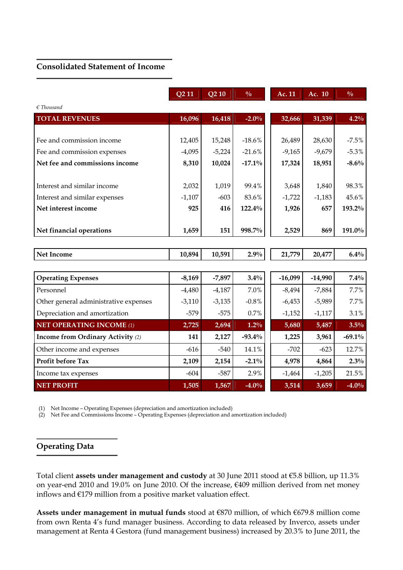#### Consolidated Statement of Income

|                                       | Q <sub>2</sub> 11 | Q <sub>2</sub> 10 | $\frac{0}{0}$ | Ac. 11    | Ac. 10    | $\frac{0}{0}$ |
|---------------------------------------|-------------------|-------------------|---------------|-----------|-----------|---------------|
| $\epsilon$ Thousand                   |                   |                   |               |           |           |               |
| <b>TOTAL REVENUES</b>                 | 16,096            | 16,418            | $-2.0%$       | 32,666    | 31,339    | 4.2%          |
|                                       |                   |                   |               |           |           |               |
| Fee and commission income             | 12,405            | 15,248            | $-18.6%$      | 26,489    | 28,630    | $-7.5%$       |
| Fee and commission expenses           | $-4,095$          | $-5,224$          | $-21.6%$      | $-9,165$  | $-9,679$  | $-5.3%$       |
| Net fee and commissions income        | 8,310             | 10,024            | $-17.1\%$     | 17,324    | 18,951    | $-8.6%$       |
|                                       |                   |                   |               |           |           |               |
| Interest and similar income           | 2,032             | 1,019             | 99.4%         | 3,648     | 1,840     | 98.3%         |
| Interest and similar expenses         | $-1,107$          | $-603$            | 83.6%         | $-1,722$  | $-1,183$  | 45.6%         |
| Net interest income                   | 925               | 416               | 122.4%        | 1,926     | 657       | 193.2%        |
|                                       |                   |                   |               |           |           |               |
| Net financial operations              | 1,659             | 151               | 998.7%        | 2,529     | 869       | 191.0%        |
|                                       |                   |                   |               |           |           |               |
| <b>Net Income</b>                     | 10,894            | 10,591            | 2.9%          | 21,779    | 20,477    | $6.4\%$       |
|                                       |                   |                   |               |           |           |               |
| <b>Operating Expenses</b>             | $-8,169$          | $-7,897$          | 3.4%          | $-16,099$ | $-14,990$ | $7.4\%$       |
| Personnel                             | $-4,480$          | $-4,187$          | 7.0%          | $-8,494$  | $-7,884$  | 7.7%          |
| Other general administrative expenses | $-3,110$          | $-3,135$          | $-0.8%$       | $-6,453$  | $-5,989$  | 7.7%          |
| Depreciation and amortization         | $-579$            | $-575$            | 0.7%          | $-1,152$  | $-1,117$  | 3.1%          |
| <b>NET OPERATING INCOME (1)</b>       | 2,725             | 2,694             | $1.2\%$       | 5,680     | 5,487     | 3.5%          |
| Income from Ordinary Activity (2)     | 141               | 2,127             | $-93.4%$      | 1,225     | 3,961     | $-69.1\%$     |
| Other income and expenses             | $-616$            | $-540$            | 14.1%         | $-702$    | $-623$    | 12.7%         |
| Profit before Tax                     | 2,109             | 2,154             | $-2.1%$       | 4,978     | 4,864     | 2.3%          |
| Income tax expenses                   | $-604$            | $-587$            | 2.9%          | $-1,464$  | $-1,205$  | 21.5%         |
| <b>NET PROFIT</b>                     | 1,505             | 1,567             | $-4.0%$       | 3,514     | 3,659     | $-4.0%$       |

(1) Net Income – Operating Expenses (depreciation and amortization included)

(2) Net Fee and Commissions Income – Operating Expenses (depreciation and amortization included)

### Operating Data

Total client assets under management and custody at 30 June 2011 stood at €5.8 billion, up 11.3% on year-end 2010 and 19.0% on June 2010. Of the increase, €409 million derived from net money inflows and €179 million from a positive market valuation effect.

Assets under management in mutual funds stood at €870 million, of which €679.8 million come from own Renta 4's fund manager business. According to data released by Inverco, assets under management at Renta 4 Gestora (fund management business) increased by 20.3% to June 2011, the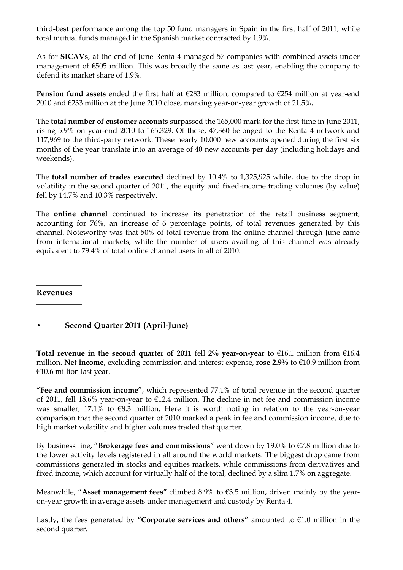third-best performance among the top 50 fund managers in Spain in the first half of 2011, while total mutual funds managed in the Spanish market contracted by 1.9%.

As for SICAVs, at the end of June Renta 4 managed 57 companies with combined assets under management of €505 million. This was broadly the same as last year, enabling the company to defend its market share of 1.9%.

**Pension fund assets** ended the first half at  $\epsilon$ 283 million, compared to  $\epsilon$ 254 million at year-end 2010 and €233 million at the June 2010 close, marking year-on-year growth of 21.5%.

The total number of customer accounts surpassed the 165,000 mark for the first time in June 2011, rising 5.9% on year-end 2010 to 165,329. Of these, 47,360 belonged to the Renta 4 network and 117,969 to the third-party network. These nearly 10,000 new accounts opened during the first six months of the year translate into an average of 40 new accounts per day (including holidays and weekends).

The total number of trades executed declined by 10.4% to 1,325,925 while, due to the drop in volatility in the second quarter of 2011, the equity and fixed-income trading volumes (by value) fell by 14.7% and 10.3% respectively.

The online channel continued to increase its penetration of the retail business segment, accounting for 76%, an increase of 6 percentage points, of total revenues generated by this channel. Noteworthy was that 50% of total revenue from the online channel through June came from international markets, while the number of users availing of this channel was already equivalent to 79.4% of total online channel users in all of 2010.

#### Revenues

### • Second Quarter 2011 (April-June)

Total revenue in the second quarter of 2011 fell 2% year-on-year to  $\epsilon$ 16.1 million from  $\epsilon$ 16.4 million. Net income, excluding commission and interest expense, rose 2.9% to  $€10.9$  million from €10.6 million last year.

"Fee and commission income", which represented 77.1% of total revenue in the second quarter of 2011, fell 18.6% year-on-year to €12.4 million. The decline in net fee and commission income was smaller; 17.1% to €8.3 million. Here it is worth noting in relation to the year-on-year comparison that the second quarter of 2010 marked a peak in fee and commission income, due to high market volatility and higher volumes traded that quarter.

By business line, "Brokerage fees and commissions" went down by 19.0% to  $\epsilon$ 7.8 million due to the lower activity levels registered in all around the world markets. The biggest drop came from commissions generated in stocks and equities markets, while commissions from derivatives and fixed income, which account for virtually half of the total, declined by a slim 1.7% on aggregate.

Meanwhile, "Asset management fees" climbed 8.9% to €3.5 million, driven mainly by the yearon-year growth in average assets under management and custody by Renta 4.

Lastly, the fees generated by "Corporate services and others" amounted to  $E1.0$  million in the second quarter.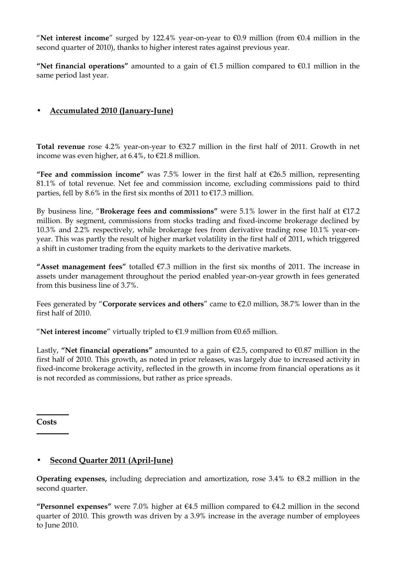"Net interest income" surged by 122.4% year-on-year to  $€0.9$  million (from  $€0.4$  million in the second quarter of 2010), thanks to higher interest rates against previous year.

"Net financial operations" amounted to a gain of  $\epsilon$ 1.5 million compared to  $\epsilon$ 0.1 million in the same period last year.

# • Accumulated 2010 (January-June)

Total revenue rose 4.2% year-on-year to  $\epsilon$ 32.7 million in the first half of 2011. Growth in net income was even higher, at 6.4%, to €21.8 million.

"Fee and commission income" was 7.5% lower in the first half at  $\epsilon$ 26.5 million, representing 81.1% of total revenue. Net fee and commission income, excluding commissions paid to third parties, fell by 8.6% in the first six months of 2011 to  $E$ 17.3 million.

By business line, "Brokerage fees and commissions" were 5.1% lower in the first half at  $E$ 17.2 million. By segment, commissions from stocks trading and fixed-income brokerage declined by 10.3% and 2.2% respectively, while brokerage fees from derivative trading rose 10.1% year-onyear. This was partly the result of higher market volatility in the first half of 2011, which triggered a shift in customer trading from the equity markets to the derivative markets.

"Asset management fees" totalled  $E$ 7.3 million in the first six months of 2011. The increase in assets under management throughout the period enabled year-on-year growth in fees generated from this business line of 3.7%.

Fees generated by "Corporate services and others" came to  $E2.0$  million, 38.7% lower than in the first half of 2010.

"Net interest income" virtually tripled to  $E1.9$  million from  $E0.65$  million.

Lastly, "Net financial operations" amounted to a gain of  $\epsilon$ 2.5, compared to  $\epsilon$ 0.87 million in the first half of 2010. This growth, as noted in prior releases, was largely due to increased activity in fixed-income brokerage activity, reflected in the growth in income from financial operations as it is not recorded as commissions, but rather as price spreads.

**Costs** 

### • Second Quarter 2011 (April-June)

**Operating expenses,** including depreciation and amortization, rose 3.4% to  $\epsilon$ 8.2 million in the second quarter.

"Personnel expenses" were 7.0% higher at  $64.5$  million compared to  $64.2$  million in the second quarter of 2010. This growth was driven by a 3.9% increase in the average number of employees to June 2010.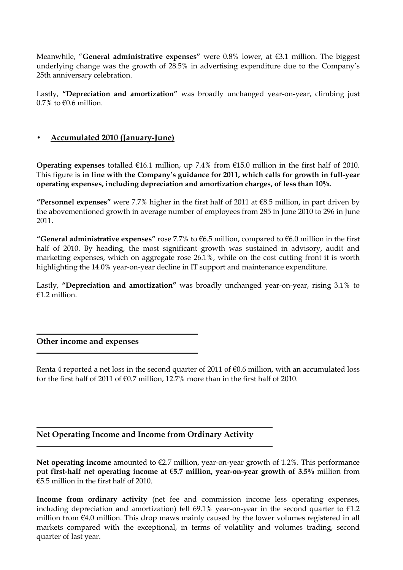Meanwhile, "General administrative expenses" were 0.8% lower, at €3.1 million. The biggest underlying change was the growth of 28.5% in advertising expenditure due to the Company's 25th anniversary celebration.

Lastly, "Depreciation and amortization" was broadly unchanged year-on-year, climbing just  $0.7\%$  to  $\epsilon$ 0.6 million.

#### • Accumulated 2010 (January-June)

Operating expenses totalled  $\epsilon$ 16.1 million, up 7.4% from  $\epsilon$ 15.0 million in the first half of 2010. This figure is in line with the Company's guidance for 2011, which calls for growth in full-year operating expenses, including depreciation and amortization charges, of less than 10%.

"Personnel expenses" were 7.7% higher in the first half of 2011 at  $\epsilon$ 8.5 million, in part driven by the abovementioned growth in average number of employees from 285 in June 2010 to 296 in June 2011.

"General administrative expenses" rose 7.7% to  $66.5$  million, compared to  $66.0$  million in the first half of 2010. By heading, the most significant growth was sustained in advisory, audit and marketing expenses, which on aggregate rose 26.1%, while on the cost cutting front it is worth highlighting the 14.0% year-on-year decline in IT support and maintenance expenditure.

Lastly, "Depreciation and amortization" was broadly unchanged year-on-year, rising 3.1% to €1.2 million.

#### Other income and expenses

Renta 4 reported a net loss in the second quarter of 2011 of €0.6 million, with an accumulated loss for the first half of 2011 of  $\epsilon$ 0.7 million, 12.7% more than in the first half of 2010.

### Net Operating Income and Income from Ordinary Activity

Net operating income amounted to  $E$ 2.7 million, year-on-year growth of 1.2%. This performance put first-half net operating income at €5.7 million, year-on-year growth of 3.5% million from €5.5 million in the first half of 2010.

Income from ordinary activity (net fee and commission income less operating expenses, including depreciation and amortization) fell 69.1% year-on-year in the second quarter to  $\epsilon$ 1.2 million from €4.0 million. This drop maws mainly caused by the lower volumes registered in all markets compared with the exceptional, in terms of volatility and volumes trading, second quarter of last year.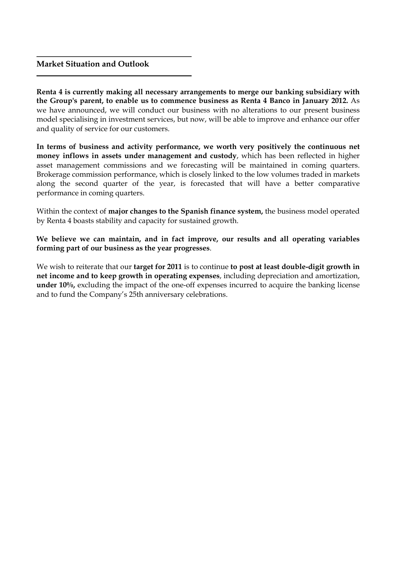#### Market Situation and Outlook

Renta 4 is currently making all necessary arrangements to merge our banking subsidiary with the Group's parent, to enable us to commence business as Renta 4 Banco in January 2012. As we have announced, we will conduct our business with no alterations to our present business model specialising in investment services, but now, will be able to improve and enhance our offer and quality of service for our customers.

In terms of business and activity performance, we worth very positively the continuous net money inflows in assets under management and custody, which has been reflected in higher asset management commissions and we forecasting will be maintained in coming quarters. Brokerage commission performance, which is closely linked to the low volumes traded in markets along the second quarter of the year, is forecasted that will have a better comparative performance in coming quarters.

Within the context of major changes to the Spanish finance system, the business model operated by Renta 4 boasts stability and capacity for sustained growth.

We believe we can maintain, and in fact improve, our results and all operating variables forming part of our business as the year progresses.

We wish to reiterate that our target for 2011 is to continue to post at least double-digit growth in net income and to keep growth in operating expenses, including depreciation and amortization, under 10%, excluding the impact of the one-off expenses incurred to acquire the banking license and to fund the Company's 25th anniversary celebrations.